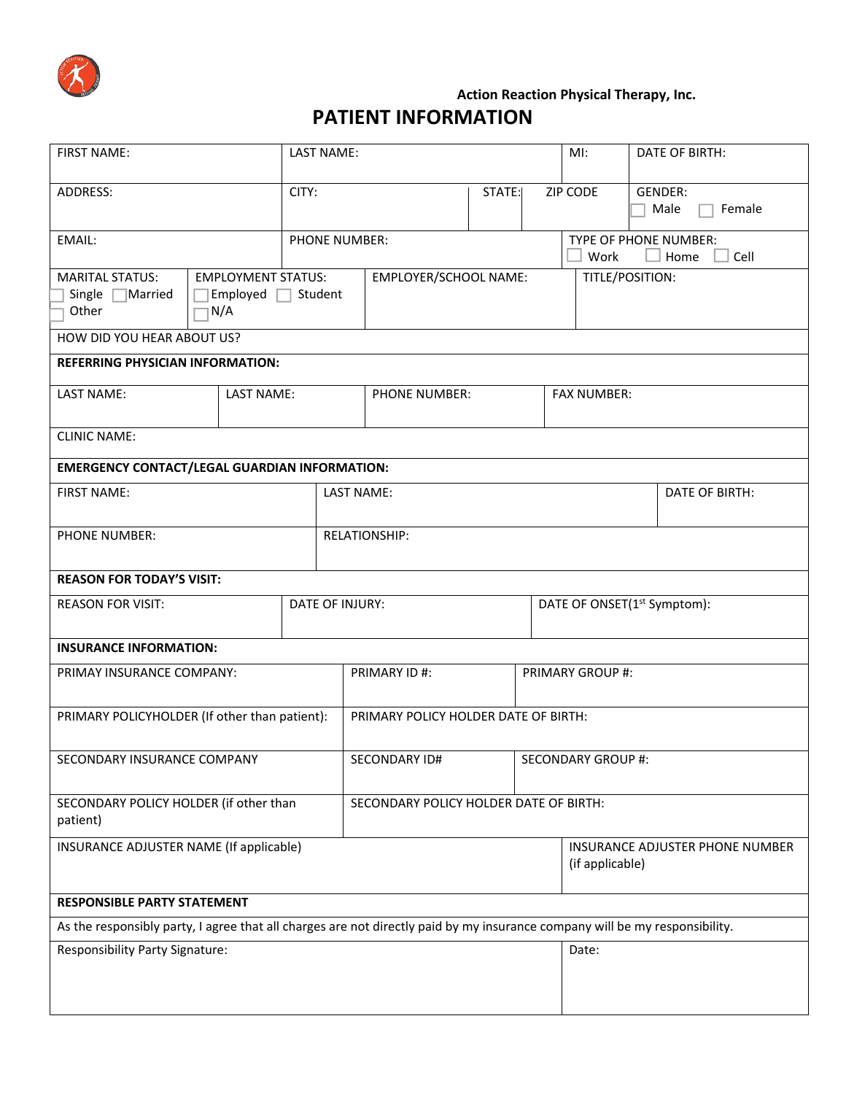

## **Action Reaction Physical Therapy, Inc. PATIENT INFORMATION**

| <b>FIRST NAME:</b>                                                                                                          |  | LAST NAME: |                       |                                        | MI:                                                | DATE OF BIRTH:            |  |
|-----------------------------------------------------------------------------------------------------------------------------|--|------------|-----------------------|----------------------------------------|----------------------------------------------------|---------------------------|--|
| ADDRESS:                                                                                                                    |  | CITY:      |                       | STATE:                                 | ZIP CODE                                           | GENDER:<br>Female<br>Male |  |
| EMAIL:                                                                                                                      |  |            | <b>PHONE NUMBER:</b>  |                                        | TYPE OF PHONE NUMBER:<br>Home<br>Work<br>Cell      |                           |  |
| <b>MARITAL STATUS:</b><br><b>EMPLOYMENT STATUS:</b><br>Single $\Box$ Married<br>Employed $\Box$<br>Other<br>N/A             |  | Student    | EMPLOYER/SCHOOL NAME: |                                        |                                                    | TITLE/POSITION:           |  |
| HOW DID YOU HEAR ABOUT US?<br><b>REFERRING PHYSICIAN INFORMATION:</b>                                                       |  |            |                       |                                        |                                                    |                           |  |
| LAST NAME:<br>LAST NAME:                                                                                                    |  |            | <b>PHONE NUMBER:</b>  |                                        | <b>FAX NUMBER:</b>                                 |                           |  |
| <b>CLINIC NAME:</b>                                                                                                         |  |            |                       |                                        |                                                    |                           |  |
| <b>EMERGENCY CONTACT/LEGAL GUARDIAN INFORMATION:</b>                                                                        |  |            |                       |                                        |                                                    |                           |  |
| <b>FIRST NAME:</b>                                                                                                          |  |            | <b>LAST NAME:</b>     |                                        |                                                    | DATE OF BIRTH:            |  |
| PHONE NUMBER:                                                                                                               |  |            | <b>RELATIONSHIP:</b>  |                                        |                                                    |                           |  |
| <b>REASON FOR TODAY'S VISIT:</b>                                                                                            |  |            |                       |                                        |                                                    |                           |  |
| DATE OF INJURY:<br><b>REASON FOR VISIT:</b>                                                                                 |  |            |                       |                                        | DATE OF ONSET(1 <sup>st</sup> Symptom):            |                           |  |
| <b>INSURANCE INFORMATION:</b>                                                                                               |  |            |                       |                                        |                                                    |                           |  |
| PRIMAY INSURANCE COMPANY:                                                                                                   |  |            | PRIMARY ID #:         |                                        | PRIMARY GROUP #:                                   |                           |  |
| PRIMARY POLICYHOLDER (If other than patient):                                                                               |  |            |                       | PRIMARY POLICY HOLDER DATE OF BIRTH:   |                                                    |                           |  |
| SECONDARY INSURANCE COMPANY                                                                                                 |  |            | SECONDARY ID#         |                                        | <b>SECONDARY GROUP #:</b>                          |                           |  |
| SECONDARY POLICY HOLDER (if other than<br>patient)                                                                          |  |            |                       | SECONDARY POLICY HOLDER DATE OF BIRTH: |                                                    |                           |  |
| INSURANCE ADJUSTER NAME (If applicable)                                                                                     |  |            |                       |                                        | INSURANCE ADJUSTER PHONE NUMBER<br>(if applicable) |                           |  |
| <b>RESPONSIBLE PARTY STATEMENT</b>                                                                                          |  |            |                       |                                        |                                                    |                           |  |
| As the responsibly party, I agree that all charges are not directly paid by my insurance company will be my responsibility. |  |            |                       |                                        |                                                    |                           |  |
| <b>Responsibility Party Signature:</b>                                                                                      |  |            |                       |                                        | Date:                                              |                           |  |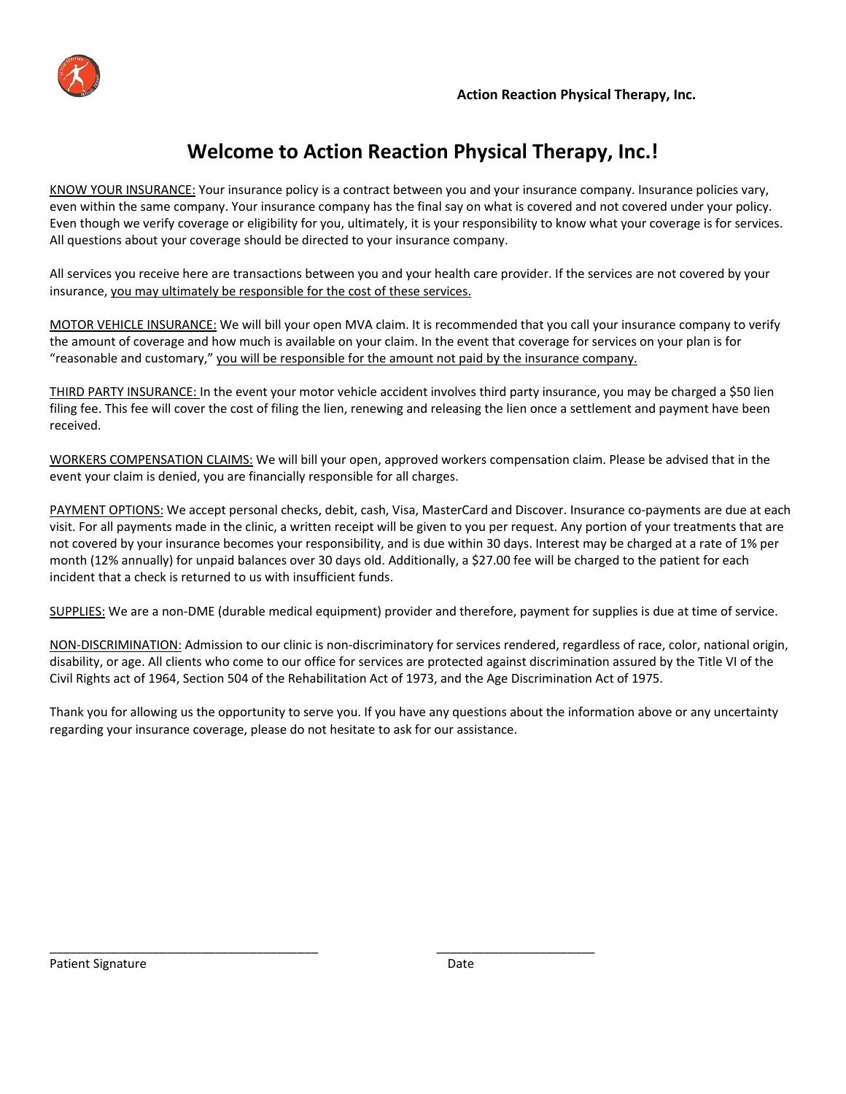

# **Welcome to Action Reaction Physical Therapy, Inc.!**

KNOW YOUR INSURANCE: Your insurance policy is a contract between you and your insurance company. Insurance policies vary, even within the same company. Your insurance company has the final say on what is covered and not covered under your policy. Even though we verify coverage or eligibility for you, ultimately, it is your responsibility to know what your coverage is for services. All questions about your coverage should be directed to your insurance company.

All services you receive here are transactions between you and your health care provider. If the services are not covered by your insurance, you may ultimately be responsible for the cost of these services.

MOTOR VEHICLE INSURANCE: We will bill your open MVA claim. It is recommended that you call your insurance company to verify the amount of coverage and how much is available on your claim. In the event that coverage for services on your plan is for "reasonable and customary," you will be responsible for the amount not paid by the insurance company.

THIRD PARTY INSURANCE: In the event your motor vehicle accident involves third party insurance, you may be charged a \$50 lien filing fee. This fee will cover the cost of filing the lien, renewing and releasing the lien once a settlement and payment have been received.

WORKERS COMPENSATION CLAIMS: We will bill your open, approved workers compensation claim. Please be advised that in the event your claim is denied, you are financially responsible for all charges.

PAYMENT OPTIONS: We accept personal checks, debit, cash, Visa, MasterCard and Discover. Insurance co‐payments are due at each visit. For all payments made in the clinic, a written receipt will be given to you per request. Any portion of your treatments that are not covered by your insurance becomes your responsibility, and is due within 30 days. Interest may be charged at a rate of 1% per month (12% annually) for unpaid balances over 30 days old. Additionally, a \$27.00 fee will be charged to the patient for each incident that a check is returned to us with insufficient funds.

SUPPLIES: We are a non‐DME (durable medical equipment) provider and therefore, payment for supplies is due at time of service.

NON-DISCRIMINATION: Admission to our clinic is non-discriminatory for services rendered, regardless of race, color, national origin, disability, or age. All clients who come to our office for services are protected against discrimination assured by the Title VI of the Civil Rights act of 1964, Section 504 of the Rehabilitation Act of 1973, and the Age Discrimination Act of 1975.

Thank you for allowing us the opportunity to serve you. If you have any questions about the information above or any uncertainty regarding your insurance coverage, please do not hesitate to ask for our assistance.

\_\_\_\_\_\_\_\_\_\_\_\_\_\_\_\_\_\_\_\_\_\_\_\_\_\_\_\_\_\_\_\_\_\_\_\_\_\_\_ \_\_\_\_\_\_\_\_\_\_\_\_\_\_\_\_\_\_\_\_\_\_\_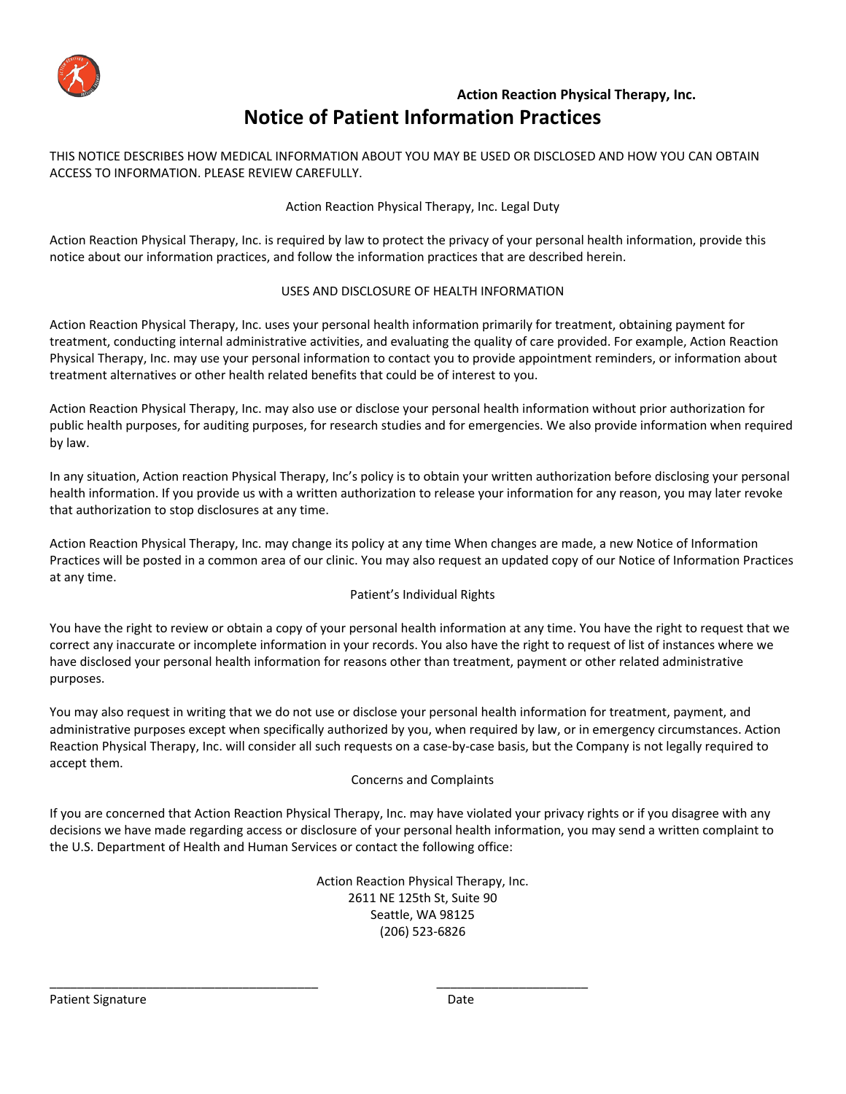

## **Action Reaction Physical Therapy, Inc. Notice of Patient Information Practices**

THIS NOTICE DESCRIBES HOW MEDICAL INFORMATION ABOUT YOU MAY BE USED OR DISCLOSED AND HOW YOU CAN OBTAIN ACCESS TO INFORMATION. PLEASE REVIEW CAREFULLY.

### Action Reaction Physical Therapy, Inc. Legal Duty

Action Reaction Physical Therapy, Inc. is required by law to protect the privacy of your personal health information, provide this notice about our information practices, and follow the information practices that are described herein.

### USES AND DISCLOSURE OF HEALTH INFORMATION

Action Reaction Physical Therapy, Inc. uses your personal health information primarily for treatment, obtaining payment for treatment, conducting internal administrative activities, and evaluating the quality of care provided. For example, Action Reaction Physical Therapy, Inc. may use your personal information to contact you to provide appointment reminders, or information about treatment alternatives or other health related benefits that could be of interest to you.

Action Reaction Physical Therapy, Inc. may also use or disclose your personal health information without prior authorization for public health purposes, for auditing purposes, for research studies and for emergencies. We also provide information when required by law.

In any situation, Action reaction Physical Therapy, Inc's policy is to obtain your written authorization before disclosing your personal health information. If you provide us with a written authorization to release your information for any reason, you may later revoke that authorization to stop disclosures at any time.

Action Reaction Physical Therapy, Inc. may change its policy at any time When changes are made, a new Notice of Information Practices will be posted in a common area of our clinic. You may also request an updated copy of our Notice of Information Practices at any time.

#### Patient's Individual Rights

You have the right to review or obtain a copy of your personal health information at any time. You have the right to request that we correct any inaccurate or incomplete information in your records. You also have the right to request of list of instances where we have disclosed your personal health information for reasons other than treatment, payment or other related administrative purposes.

You may also request in writing that we do not use or disclose your personal health information for treatment, payment, and administrative purposes except when specifically authorized by you, when required by law, or in emergency circumstances. Action Reaction Physical Therapy, Inc. will consider all such requests on a case‐by‐case basis, but the Company is not legally required to accept them.

#### Concerns and Complaints

If you are concerned that Action Reaction Physical Therapy, Inc. may have violated your privacy rights or if you disagree with any decisions we have made regarding access or disclosure of your personal health information, you may send a written complaint to the U.S. Department of Health and Human Services or contact the following office:

> Action Reaction Physical Therapy, Inc. 2611 NE 125th St, Suite 90 Seattle, WA 98125 (206) 523‐6826

\_\_\_\_\_\_\_\_\_\_\_\_\_\_\_\_\_\_\_\_\_\_\_\_\_\_\_\_\_\_\_\_\_\_\_\_\_\_\_ \_\_\_\_\_\_\_\_\_\_\_\_\_\_\_\_\_\_\_\_\_\_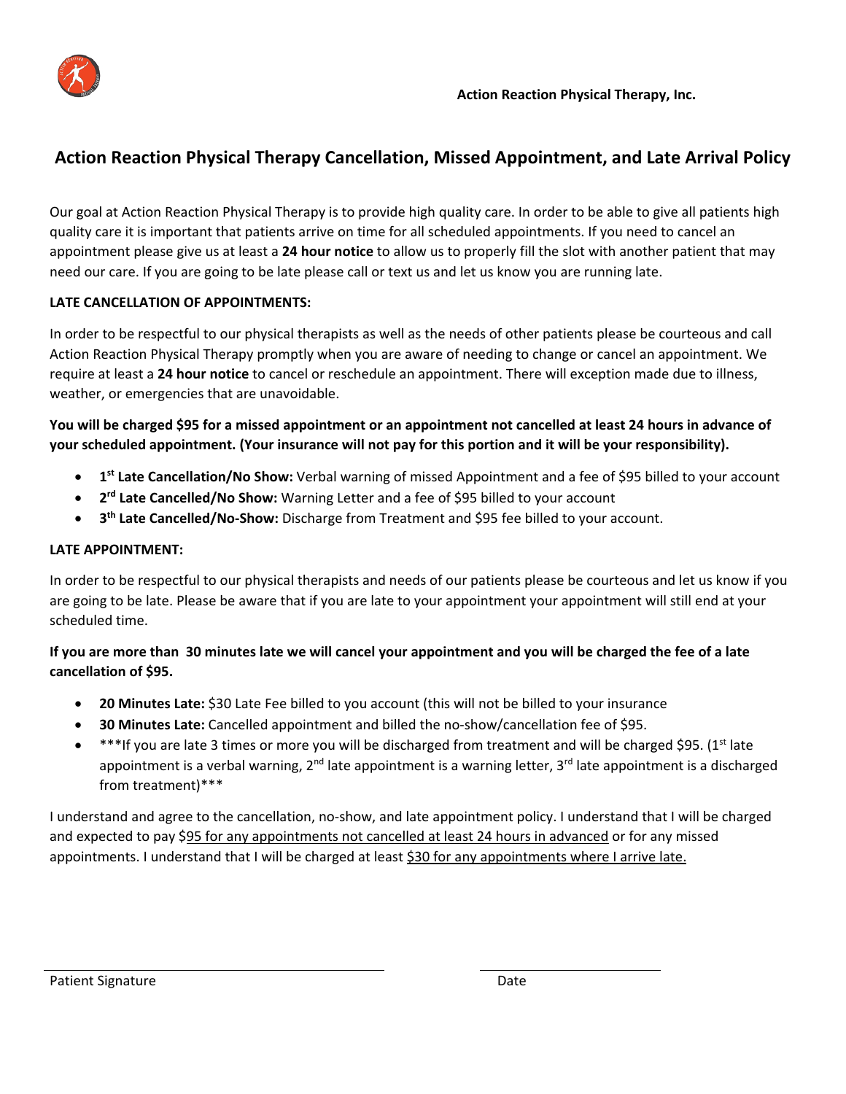

## **Action Reaction Physical Therapy Cancellation, Missed Appointment, and Late Arrival Policy**

Our goal at Action Reaction Physical Therapy is to provide high quality care. In order to be able to give all patients high quality care it is important that patients arrive on time for all scheduled appointments. If you need to cancel an appointment please give us at least a **24 hour notice** to allow us to properly fill the slot with another patient that may need our care. If you are going to be late please call or text us and let us know you are running late.

## **LATE CANCELLATION OF APPOINTMENTS:**

In order to be respectful to our physical therapists as well as the needs of other patients please be courteous and call Action Reaction Physical Therapy promptly when you are aware of needing to change or cancel an appointment. We require at least a **24 hour notice** to cancel or reschedule an appointment. There will exception made due to illness, weather, or emergencies that are unavoidable.

**You will be charged \$95 for a missed appointment or an appointment not cancelled at least 24 hours in advance of your scheduled appointment. (Your insurance will not pay for this portion and it will be your responsibility).** 

- **1st Late Cancellation/No Show:** Verbal warning of missed Appointment and a fee of \$95 billed to your account
- **2rd Late Cancelled/No Show:** Warning Letter and a fee of \$95 billed to your account
- 3<sup>th</sup> Late Cancelled/No-Show: Discharge from Treatment and \$95 fee billed to your account.

## **LATE APPOINTMENT:**

In order to be respectful to our physical therapists and needs of our patients please be courteous and let us know if you are going to be late. Please be aware that if you are late to your appointment your appointment will still end at your scheduled time.

## **If you are more than 30 minutes late we will cancel your appointment and you will be charged the fee of a late cancellation of \$95.**

- **20 Minutes Late:** \$30 Late Fee billed to you account (this will not be billed to your insurance
- **30 Minutes Late:** Cancelled appointment and billed the no‐show/cancellation fee of \$95.
- \*\*\*If you are late 3 times or more you will be discharged from treatment and will be charged \$95. (1st late appointment is a verbal warning, 2<sup>nd</sup> late appointment is a warning letter, 3<sup>rd</sup> late appointment is a discharged from treatment)\*\*\*

I understand and agree to the cancellation, no‐show, and late appointment policy. I understand that I will be charged and expected to pay \$95 for any appointments not cancelled at least 24 hours in advanced or for any missed appointments. I understand that I will be charged at least \$30 for any appointments where I arrive late.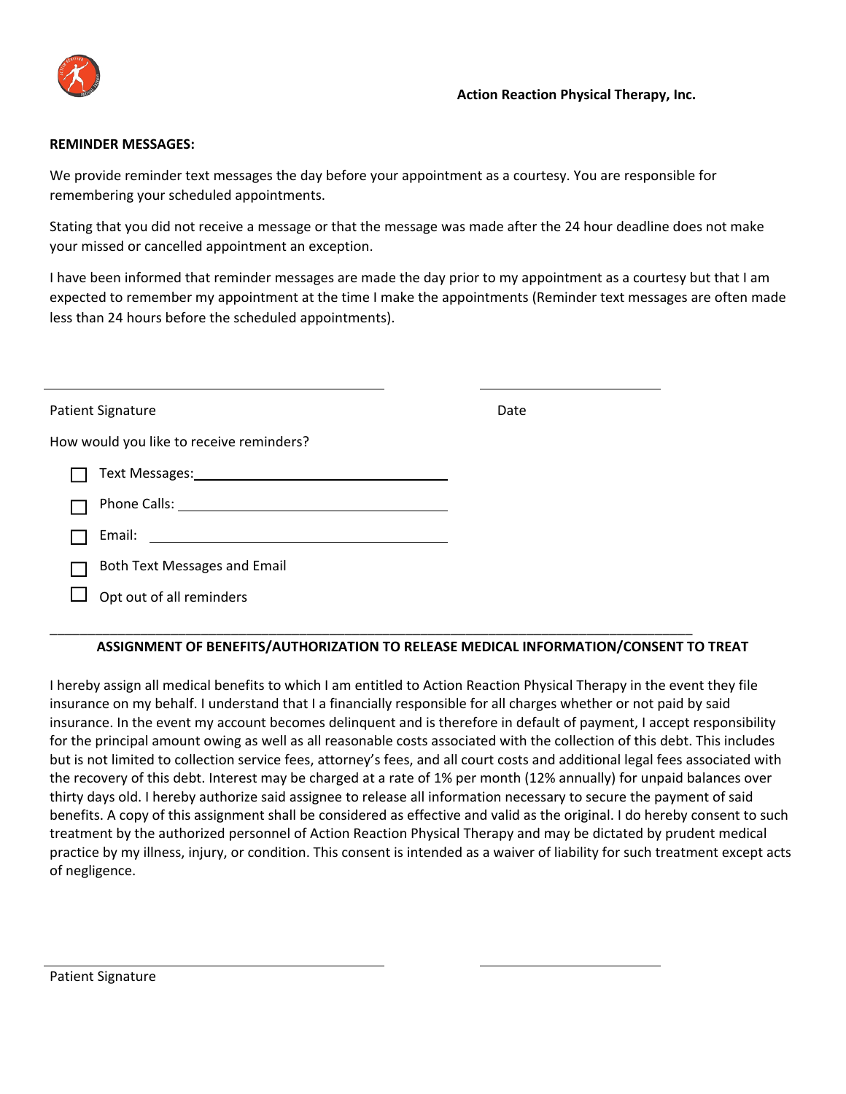

### **REMINDER MESSAGES:**

We provide reminder text messages the day before your appointment as a courtesy. You are responsible for remembering your scheduled appointments.

Stating that you did not receive a message or that the message was made after the 24 hour deadline does not make your missed or cancelled appointment an exception.

I have been informed that reminder messages are made the day prior to my appointment as a courtesy but that I am expected to remember my appointment at the time I make the appointments (Reminder text messages are often made less than 24 hours before the scheduled appointments).

| Patient Signature                                                                                                              | Date |
|--------------------------------------------------------------------------------------------------------------------------------|------|
| How would you like to receive reminders?                                                                                       |      |
| Text Messages: 1999 and 1999 and 1999 and 1999 and 1999 and 1999 and 1999 and 1999 and 1999 and 199                            |      |
|                                                                                                                                |      |
| Email:<br><u> 1989 - Andrea Albert III, politik a postal de la provincia de la provincia de la provincia de la provincia d</u> |      |
| Both Text Messages and Email                                                                                                   |      |
| Opt out of all reminders                                                                                                       |      |

\_\_\_\_\_\_\_\_\_\_\_\_\_\_\_\_\_\_\_\_\_\_\_\_\_\_\_\_\_\_\_\_\_\_\_\_\_\_\_\_\_\_\_\_\_\_\_\_\_\_\_\_\_\_\_\_\_\_\_\_\_\_\_\_\_\_\_\_\_\_\_\_\_\_\_\_\_\_\_\_\_\_\_\_\_

## **ASSIGNMENT OF BENEFITS/AUTHORIZATION TO RELEASE MEDICAL INFORMATION/CONSENT TO TREAT**

I hereby assign all medical benefits to which I am entitled to Action Reaction Physical Therapy in the event they file insurance on my behalf. I understand that I a financially responsible for all charges whether or not paid by said insurance. In the event my account becomes delinquent and is therefore in default of payment, I accept responsibility for the principal amount owing as well as all reasonable costs associated with the collection of this debt. This includes but is not limited to collection service fees, attorney's fees, and all court costs and additional legal fees associated with the recovery of this debt. Interest may be charged at a rate of 1% per month (12% annually) for unpaid balances over thirty days old. I hereby authorize said assignee to release all information necessary to secure the payment of said benefits. A copy of this assignment shall be considered as effective and valid as the original. I do hereby consent to such treatment by the authorized personnel of Action Reaction Physical Therapy and may be dictated by prudent medical practice by my illness, injury, or condition. This consent is intended as a waiver of liability for such treatment except acts of negligence.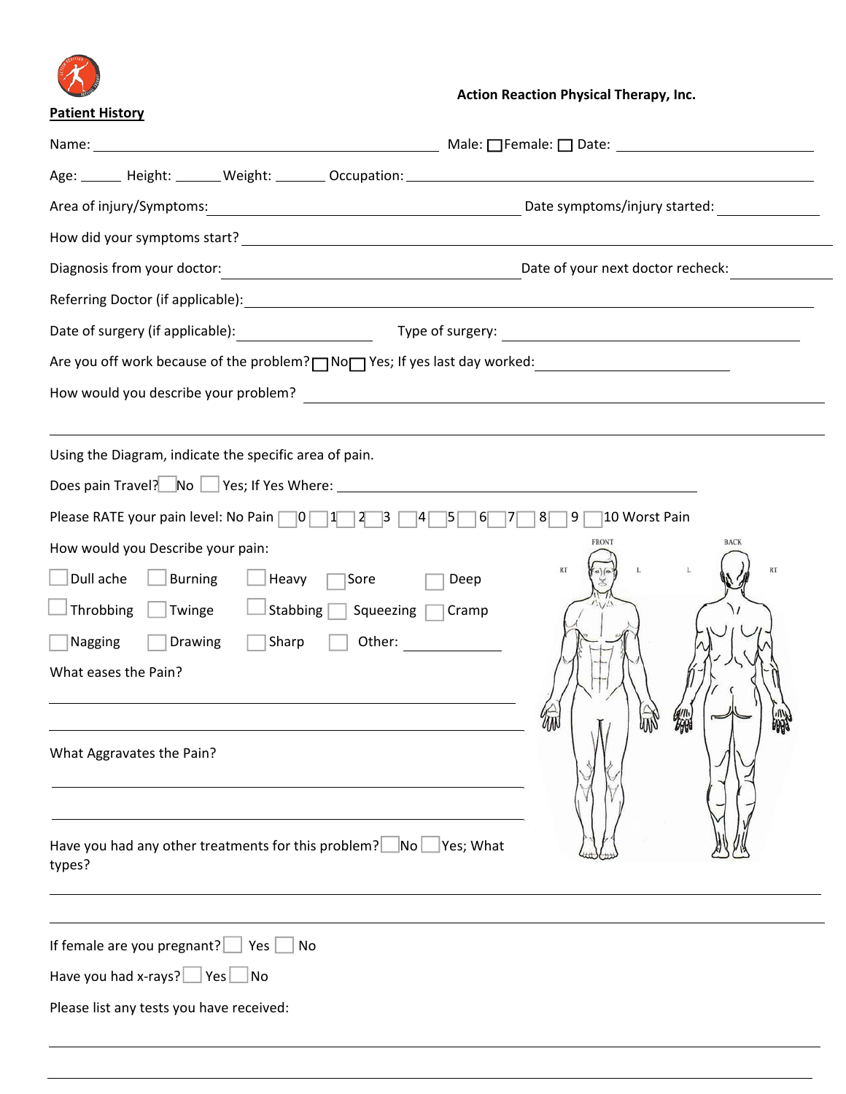

## **Action Reaction Physical Therapy, Inc.**

| <b>Patient History</b>                                                                                           |                                   |
|------------------------------------------------------------------------------------------------------------------|-----------------------------------|
|                                                                                                                  |                                   |
|                                                                                                                  |                                   |
| Date symptoms/injury started:<br>Area of injury/Symptoms:                                                        |                                   |
|                                                                                                                  |                                   |
| Diagnosis from your doctor:<br><u> 1989 - Johann Stoff, fransk politik (</u>                                     | Date of your next doctor recheck: |
|                                                                                                                  |                                   |
|                                                                                                                  |                                   |
|                                                                                                                  |                                   |
|                                                                                                                  |                                   |
|                                                                                                                  |                                   |
| Using the Diagram, indicate the specific area of pain.                                                           |                                   |
| Does pain Travel? No Section Yes; If Yes Where: Network Contract Contract Contract Contract Contract Contract C  |                                   |
| Please RATE your pain level: No Pain 0 $\boxed{1}$ $\boxed{2}$ $\boxed{3}$ $\boxed{4}$ $\boxed{5}$ 6 $\boxed{7}$ | $9\vert$<br>10 Worst Pain<br>8    |
| How would you Describe your pain:                                                                                | <b>FRONT</b><br><b>BACK</b>       |
| Dull ache<br><b>Burning</b><br>Heavy<br>Sore<br>Deep                                                             | RT<br>RT                          |
| Throbbing<br>$\Box$ Twinge<br>$\overline{\phantom{a}}$ Stabbing $\overline{\phantom{a}}$<br>Squeezing<br>Cramp   |                                   |
| Nagging<br><b>Drawing</b><br>Sharp<br>Other:                                                                     |                                   |
| What eases the Pain?                                                                                             |                                   |
|                                                                                                                  |                                   |
| What Aggravates the Pain?                                                                                        | אΩה<br><b>ABA</b>                 |
|                                                                                                                  |                                   |
|                                                                                                                  |                                   |
| Have you had any other treatments for this problem? $\Box$ No $\Box$<br>Yes; What                                |                                   |
| types?                                                                                                           |                                   |
|                                                                                                                  |                                   |
| If female are you pregnant?<br>No<br>Yes                                                                         |                                   |
| Have you had x-rays? $\Box$ Yes $\Box$ No                                                                        |                                   |
| Please list any tests you have received:                                                                         |                                   |
|                                                                                                                  |                                   |